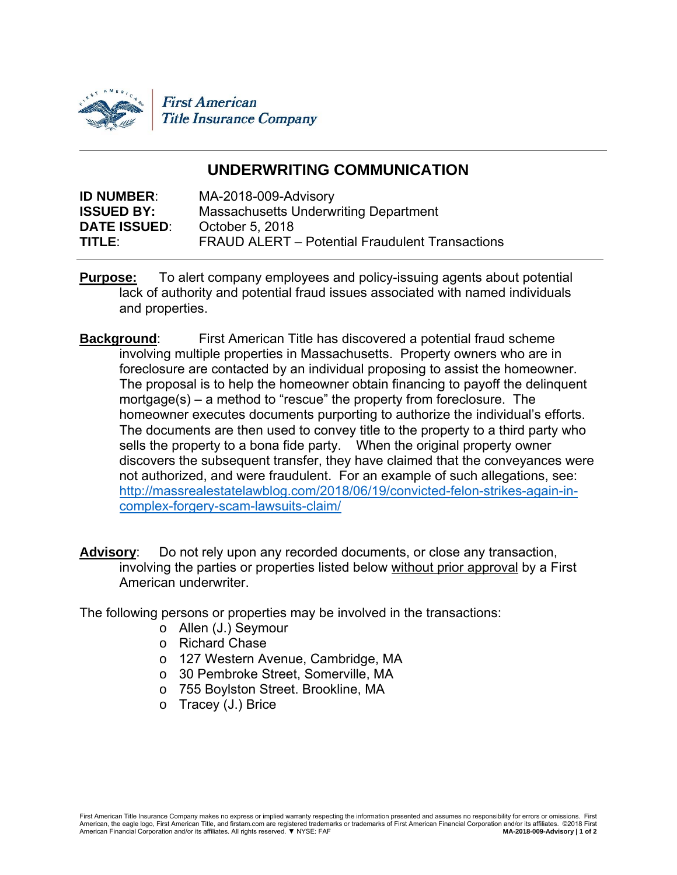

# **UNDERWRITING COMMUNICATION**

| MA-2018-009-Advisory                            |
|-------------------------------------------------|
| <b>Massachusetts Underwriting Department</b>    |
| October 5, 2018                                 |
| FRAUD ALERT – Potential Fraudulent Transactions |
|                                                 |

- **Purpose:** To alert company employees and policy-issuing agents about potential lack of authority and potential fraud issues associated with named individuals and properties.
- **Background:** First American Title has discovered a potential fraud scheme involving multiple properties in Massachusetts. Property owners who are in foreclosure are contacted by an individual proposing to assist the homeowner. The proposal is to help the homeowner obtain financing to payoff the delinquent mortgage(s) – a method to "rescue" the property from foreclosure. The homeowner executes documents purporting to authorize the individual's efforts. The documents are then used to convey title to the property to a third party who sells the property to a bona fide party. When the original property owner discovers the subsequent transfer, they have claimed that the conveyances were not authorized, and were fraudulent. For an example of such allegations, see: http://massrealestatelawblog.com/2018/06/19/convicted-felon-strikes-again-incomplex-forgery-scam-lawsuits-claim/
- **Advisory**: Do not rely upon any recorded documents, or close any transaction, involving the parties or properties listed below without prior approval by a First American underwriter.

The following persons or properties may be involved in the transactions:

- o Allen (J.) Seymour
- o Richard Chase
- o 127 Western Avenue, Cambridge, MA
- o 30 Pembroke Street, Somerville, MA
- o 755 Boylston Street. Brookline, MA
- o Tracey (J.) Brice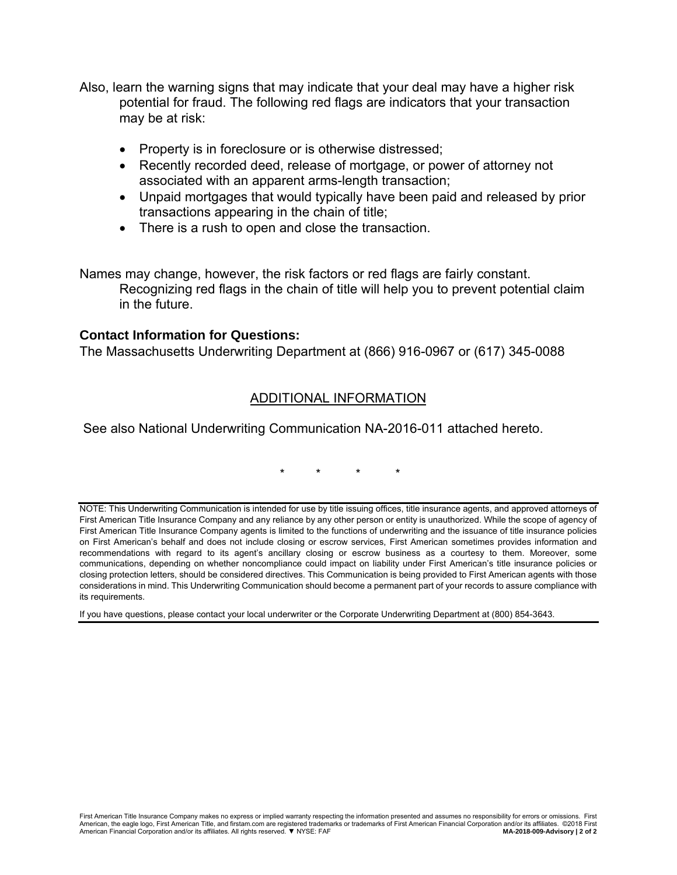- Also, learn the warning signs that may indicate that your deal may have a higher risk potential for fraud. The following red flags are indicators that your transaction may be at risk:
	- Property is in foreclosure or is otherwise distressed;
	- Recently recorded deed, release of mortgage, or power of attorney not associated with an apparent arms-length transaction;
	- Unpaid mortgages that would typically have been paid and released by prior transactions appearing in the chain of title;
	- There is a rush to open and close the transaction.

Names may change, however, the risk factors or red flags are fairly constant. Recognizing red flags in the chain of title will help you to prevent potential claim in the future.

## **Contact Information for Questions:**

The Massachusetts Underwriting Department at (866) 916-0967 or (617) 345-0088

## ADDITIONAL INFORMATION

See also National Underwriting Communication NA-2016-011 attached hereto.

\* \* \* \*

NOTE: This Underwriting Communication is intended for use by title issuing offices, title insurance agents, and approved attorneys of First American Title Insurance Company and any reliance by any other person or entity is unauthorized. While the scope of agency of First American Title Insurance Company agents is limited to the functions of underwriting and the issuance of title insurance policies on First American's behalf and does not include closing or escrow services, First American sometimes provides information and recommendations with regard to its agent's ancillary closing or escrow business as a courtesy to them. Moreover, some communications, depending on whether noncompliance could impact on liability under First American's title insurance policies or closing protection letters, should be considered directives. This Communication is being provided to First American agents with those considerations in mind. This Underwriting Communication should become a permanent part of your records to assure compliance with its requirements.

If you have questions, please contact your local underwriter or the Corporate Underwriting Department at (800) 854-3643.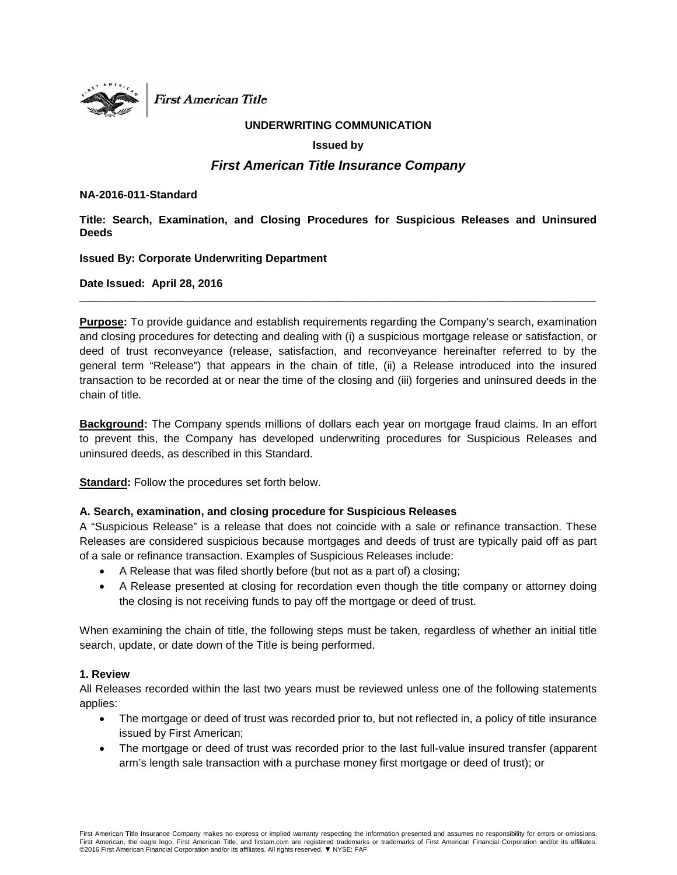

**First American Title** 

#### **UNDERWRITING COMMUNICATION**

#### **Issued by**

## *First American Title Insurance Company*

#### **NA-2016-011-Standard**

**Title: Search, Examination, and Closing Procedures for Suspicious Releases and Uninsured Deeds**

**Issued By: Corporate Underwriting Department**

**Date Issued: April 28, 2016**

**Purpose:** To provide guidance and establish requirements regarding the Company's search, examination and closing procedures for detecting and dealing with (i) a suspicious mortgage release or satisfaction, or deed of trust reconveyance (release, satisfaction, and reconveyance hereinafter referred to by the general term "Release") that appears in the chain of title, (ii) a Release introduced into the insured transaction to be recorded at or near the time of the closing and (iii) forgeries and uninsured deeds in the chain of title.

\_\_\_\_\_\_\_\_\_\_\_\_\_\_\_\_\_\_\_\_\_\_\_\_\_\_\_\_\_\_\_\_\_\_\_\_\_\_\_\_\_\_\_\_\_\_\_\_\_\_\_\_\_\_\_\_\_\_\_\_\_\_\_\_\_\_\_\_\_\_\_\_\_\_\_\_\_\_\_\_\_\_\_\_

**Background:** The Company spends millions of dollars each year on mortgage fraud claims. In an effort to prevent this, the Company has developed underwriting procedures for Suspicious Releases and uninsured deeds, as described in this Standard.

**Standard:** Follow the procedures set forth below.

#### **A. Search, examination, and closing procedure for Suspicious Releases**

A "Suspicious Release" is a release that does not coincide with a sale or refinance transaction. These Releases are considered suspicious because mortgages and deeds of trust are typically paid off as part of a sale or refinance transaction. Examples of Suspicious Releases include:

- A Release that was filed shortly before (but not as a part of) a closing;
- A Release presented at closing for recordation even though the title company or attorney doing the closing is not receiving funds to pay off the mortgage or deed of trust.

When examining the chain of title, the following steps must be taken, regardless of whether an initial title search, update, or date down of the Title is being performed.

#### **1. Review**

All Releases recorded within the last two years must be reviewed unless one of the following statements applies:

- The mortgage or deed of trust was recorded prior to, but not reflected in, a policy of title insurance issued by First American;
- The mortgage or deed of trust was recorded prior to the last full-value insured transfer (apparent arm's length sale transaction with a purchase money first mortgage or deed of trust); or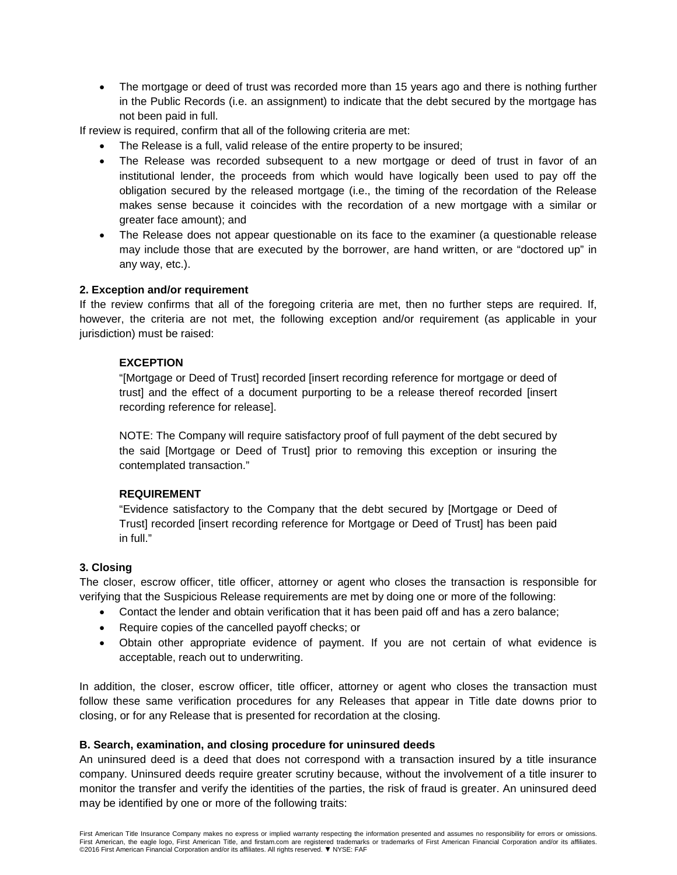• The mortgage or deed of trust was recorded more than 15 years ago and there is nothing further in the Public Records (i.e. an assignment) to indicate that the debt secured by the mortgage has not been paid in full.

If review is required, confirm that all of the following criteria are met:

- The Release is a full, valid release of the entire property to be insured;
- The Release was recorded subsequent to a new mortgage or deed of trust in favor of an institutional lender, the proceeds from which would have logically been used to pay off the obligation secured by the released mortgage (i.e., the timing of the recordation of the Release makes sense because it coincides with the recordation of a new mortgage with a similar or greater face amount); and
- The Release does not appear questionable on its face to the examiner (a questionable release may include those that are executed by the borrower, are hand written, or are "doctored up" in any way, etc.).

#### **2. Exception and/or requirement**

If the review confirms that all of the foregoing criteria are met, then no further steps are required. If, however, the criteria are not met, the following exception and/or requirement (as applicable in your jurisdiction) must be raised:

#### **EXCEPTION**

"[Mortgage or Deed of Trust] recorded [insert recording reference for mortgage or deed of trust] and the effect of a document purporting to be a release thereof recorded [insert recording reference for release].

NOTE: The Company will require satisfactory proof of full payment of the debt secured by the said [Mortgage or Deed of Trust] prior to removing this exception or insuring the contemplated transaction."

#### **REQUIREMENT**

"Evidence satisfactory to the Company that the debt secured by [Mortgage or Deed of Trust] recorded [insert recording reference for Mortgage or Deed of Trust] has been paid in full."

#### **3. Closing**

The closer, escrow officer, title officer, attorney or agent who closes the transaction is responsible for verifying that the Suspicious Release requirements are met by doing one or more of the following:

- Contact the lender and obtain verification that it has been paid off and has a zero balance;
- Require copies of the cancelled payoff checks; or
- Obtain other appropriate evidence of payment. If you are not certain of what evidence is acceptable, reach out to underwriting.

In addition, the closer, escrow officer, title officer, attorney or agent who closes the transaction must follow these same verification procedures for any Releases that appear in Title date downs prior to closing, or for any Release that is presented for recordation at the closing.

#### **B. Search, examination, and closing procedure for uninsured deeds**

An uninsured deed is a deed that does not correspond with a transaction insured by a title insurance company. Uninsured deeds require greater scrutiny because, without the involvement of a title insurer to monitor the transfer and verify the identities of the parties, the risk of fraud is greater. An uninsured deed may be identified by one or more of the following traits: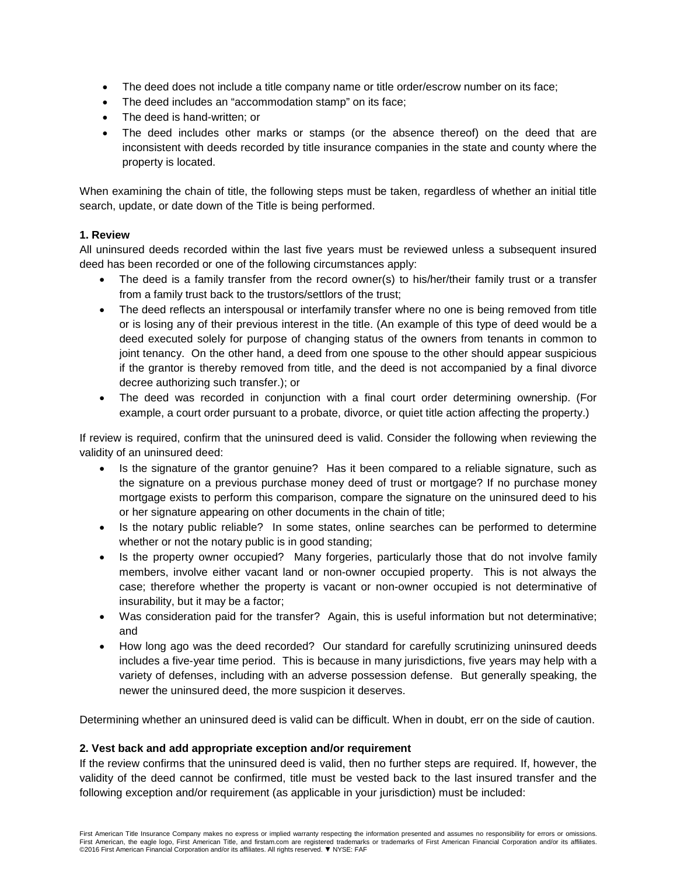- The deed does not include a title company name or title order/escrow number on its face;
- The deed includes an "accommodation stamp" on its face;
- The deed is hand-written; or
- The deed includes other marks or stamps (or the absence thereof) on the deed that are inconsistent with deeds recorded by title insurance companies in the state and county where the property is located.

When examining the chain of title, the following steps must be taken, regardless of whether an initial title search, update, or date down of the Title is being performed.

#### **1. Review**

All uninsured deeds recorded within the last five years must be reviewed unless a subsequent insured deed has been recorded or one of the following circumstances apply:

- The deed is a family transfer from the record owner(s) to his/her/their family trust or a transfer from a family trust back to the trustors/settlors of the trust;
- The deed reflects an interspousal or interfamily transfer where no one is being removed from title or is losing any of their previous interest in the title. (An example of this type of deed would be a deed executed solely for purpose of changing status of the owners from tenants in common to joint tenancy. On the other hand, a deed from one spouse to the other should appear suspicious if the grantor is thereby removed from title, and the deed is not accompanied by a final divorce decree authorizing such transfer.); or
- The deed was recorded in conjunction with a final court order determining ownership. (For example, a court order pursuant to a probate, divorce, or quiet title action affecting the property.)

If review is required, confirm that the uninsured deed is valid. Consider the following when reviewing the validity of an uninsured deed:

- Is the signature of the grantor genuine? Has it been compared to a reliable signature, such as the signature on a previous purchase money deed of trust or mortgage? If no purchase money mortgage exists to perform this comparison, compare the signature on the uninsured deed to his or her signature appearing on other documents in the chain of title;
- Is the notary public reliable? In some states, online searches can be performed to determine whether or not the notary public is in good standing;
- Is the property owner occupied? Many forgeries, particularly those that do not involve family members, involve either vacant land or non-owner occupied property. This is not always the case; therefore whether the property is vacant or non-owner occupied is not determinative of insurability, but it may be a factor;
- Was consideration paid for the transfer? Again, this is useful information but not determinative; and
- How long ago was the deed recorded? Our standard for carefully scrutinizing uninsured deeds includes a five-year time period. This is because in many jurisdictions, five years may help with a variety of defenses, including with an adverse possession defense. But generally speaking, the newer the uninsured deed, the more suspicion it deserves.

Determining whether an uninsured deed is valid can be difficult. When in doubt, err on the side of caution.

#### **2. Vest back and add appropriate exception and/or requirement**

If the review confirms that the uninsured deed is valid, then no further steps are required. If, however, the validity of the deed cannot be confirmed, title must be vested back to the last insured transfer and the following exception and/or requirement (as applicable in your jurisdiction) must be included: